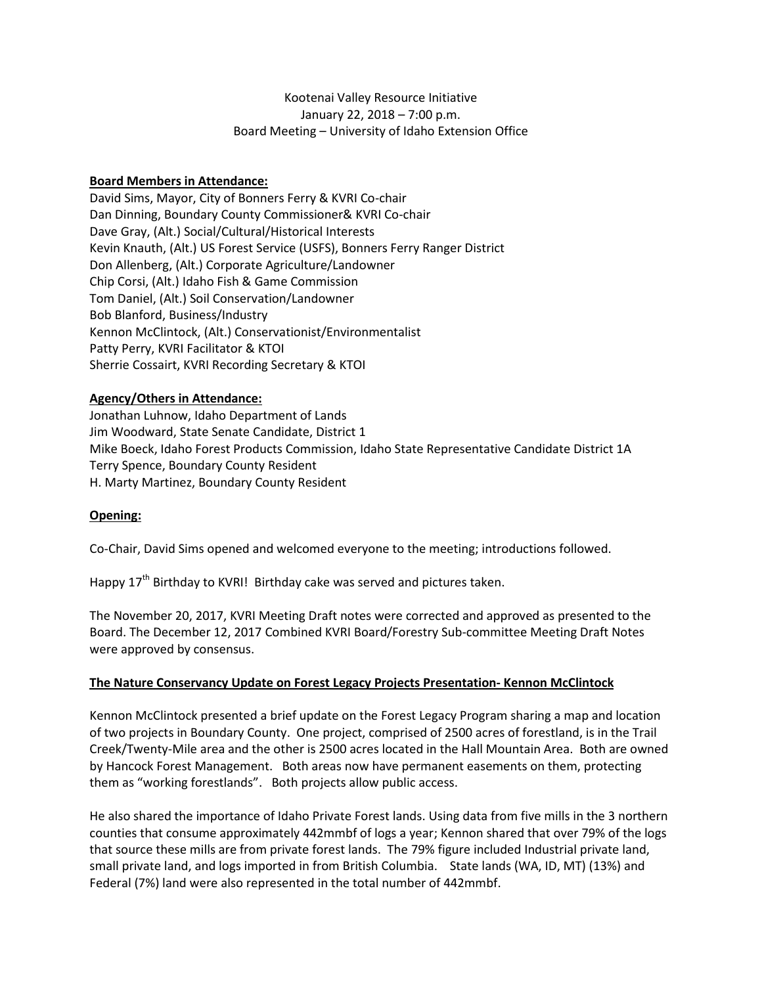# Kootenai Valley Resource Initiative January 22, 2018 – 7:00 p.m. Board Meeting – University of Idaho Extension Office

# **Board Members in Attendance:**

David Sims, Mayor, City of Bonners Ferry & KVRI Co-chair Dan Dinning, Boundary County Commissioner& KVRI Co-chair Dave Gray, (Alt.) Social/Cultural/Historical Interests Kevin Knauth, (Alt.) US Forest Service (USFS), Bonners Ferry Ranger District Don Allenberg, (Alt.) Corporate Agriculture/Landowner Chip Corsi, (Alt.) Idaho Fish & Game Commission Tom Daniel, (Alt.) Soil Conservation/Landowner Bob Blanford, Business/Industry Kennon McClintock, (Alt.) Conservationist/Environmentalist Patty Perry, KVRI Facilitator & KTOI Sherrie Cossairt, KVRI Recording Secretary & KTOI

#### **Agency/Others in Attendance:**

Jonathan Luhnow, Idaho Department of Lands Jim Woodward, State Senate Candidate, District 1 Mike Boeck, Idaho Forest Products Commission, Idaho State Representative Candidate District 1A Terry Spence, Boundary County Resident H. Marty Martinez, Boundary County Resident

# **Opening:**

Co-Chair, David Sims opened and welcomed everyone to the meeting; introductions followed.

Happy  $17<sup>th</sup>$  Birthday to KVRI! Birthday cake was served and pictures taken.

The November 20, 2017, KVRI Meeting Draft notes were corrected and approved as presented to the Board. The December 12, 2017 Combined KVRI Board/Forestry Sub-committee Meeting Draft Notes were approved by consensus.

#### **The Nature Conservancy Update on Forest Legacy Projects Presentation- Kennon McClintock**

Kennon McClintock presented a brief update on the Forest Legacy Program sharing a map and location of two projects in Boundary County. One project, comprised of 2500 acres of forestland, is in the Trail Creek/Twenty-Mile area and the other is 2500 acres located in the Hall Mountain Area. Both are owned by Hancock Forest Management. Both areas now have permanent easements on them, protecting them as "working forestlands". Both projects allow public access.

He also shared the importance of Idaho Private Forest lands. Using data from five mills in the 3 northern counties that consume approximately 442mmbf of logs a year; Kennon shared that over 79% of the logs that source these mills are from private forest lands. The 79% figure included Industrial private land, small private land, and logs imported in from British Columbia. State lands (WA, ID, MT) (13%) and Federal (7%) land were also represented in the total number of 442mmbf.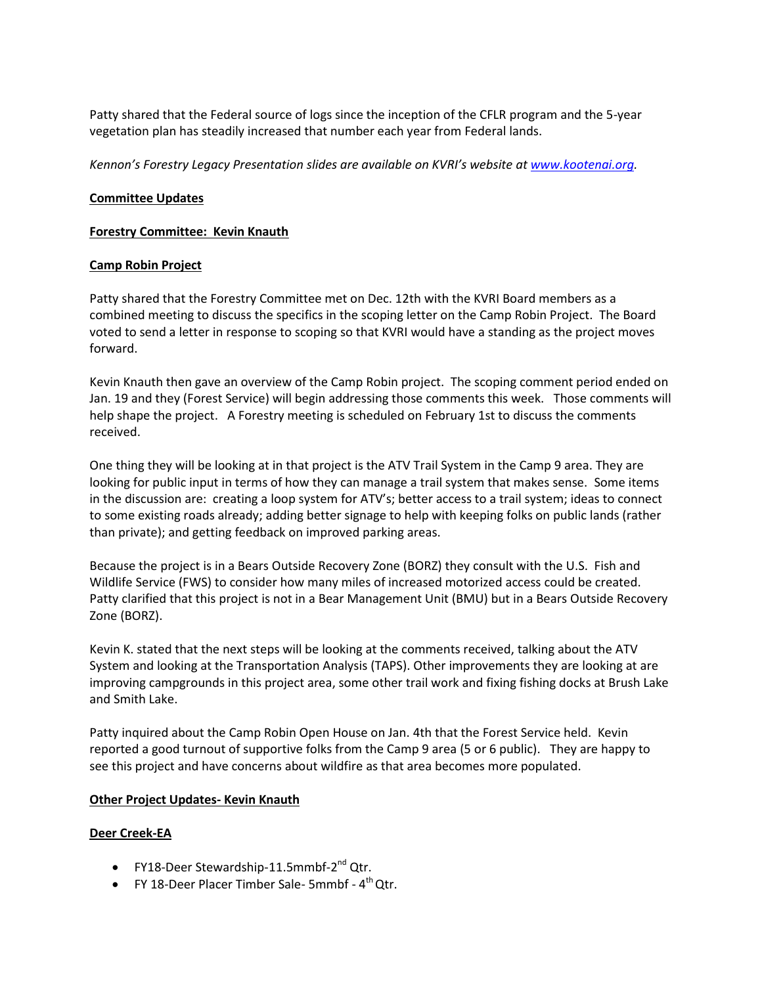Patty shared that the Federal source of logs since the inception of the CFLR program and the 5-year vegetation plan has steadily increased that number each year from Federal lands.

*Kennon's Forestry Legacy Presentation slides are available on KVRI's website a[t www.kootenai.org.](http://www.kootenai.org/)*

# **Committee Updates**

# **Forestry Committee: Kevin Knauth**

# **Camp Robin Project**

Patty shared that the Forestry Committee met on Dec. 12th with the KVRI Board members as a combined meeting to discuss the specifics in the scoping letter on the Camp Robin Project. The Board voted to send a letter in response to scoping so that KVRI would have a standing as the project moves forward.

Kevin Knauth then gave an overview of the Camp Robin project. The scoping comment period ended on Jan. 19 and they (Forest Service) will begin addressing those comments this week. Those comments will help shape the project. A Forestry meeting is scheduled on February 1st to discuss the comments received.

One thing they will be looking at in that project is the ATV Trail System in the Camp 9 area. They are looking for public input in terms of how they can manage a trail system that makes sense. Some items in the discussion are: creating a loop system for ATV's; better access to a trail system; ideas to connect to some existing roads already; adding better signage to help with keeping folks on public lands (rather than private); and getting feedback on improved parking areas.

Because the project is in a Bears Outside Recovery Zone (BORZ) they consult with the U.S. Fish and Wildlife Service (FWS) to consider how many miles of increased motorized access could be created. Patty clarified that this project is not in a Bear Management Unit (BMU) but in a Bears Outside Recovery Zone (BORZ).

Kevin K. stated that the next steps will be looking at the comments received, talking about the ATV System and looking at the Transportation Analysis (TAPS). Other improvements they are looking at are improving campgrounds in this project area, some other trail work and fixing fishing docks at Brush Lake and Smith Lake.

Patty inquired about the Camp Robin Open House on Jan. 4th that the Forest Service held. Kevin reported a good turnout of supportive folks from the Camp 9 area (5 or 6 public). They are happy to see this project and have concerns about wildfire as that area becomes more populated.

# **Other Project Updates- Kevin Knauth**

# **Deer Creek-EA**

- FY18-Deer Stewardship-11.5mmbf-2<sup>nd</sup> Qtr.
- FY 18-Deer Placer Timber Sale- 5mmbf  $4<sup>th</sup>$  Qtr.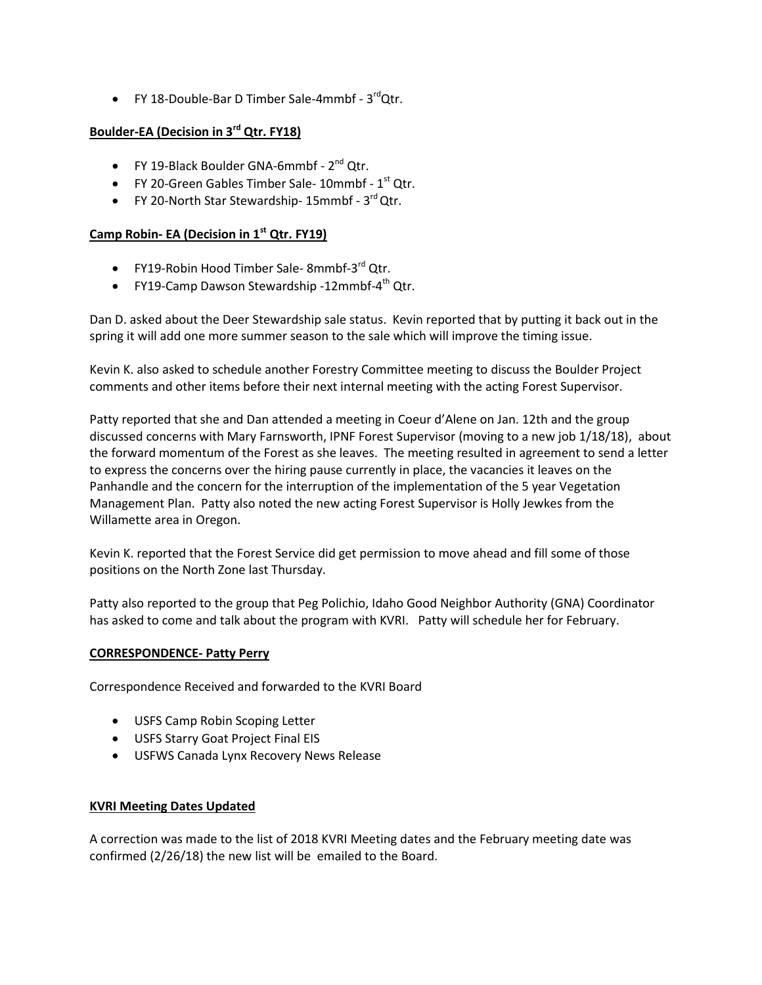• FY 18-Double-Bar D Timber Sale-4mmbf - 3<sup>rd</sup>Qtr.

# **Boulder-EA (Decision in 3rd Qtr. FY18)**

- FY 19-Black Boulder GNA-6mmbf  $2^{nd}$  Qtr.
- $\bullet$  FY 20-Green Gables Timber Sale- 10mmbf 1st Qtr.
- FY 20-North Star Stewardship-  $15$ mmbf  $3<sup>rd</sup>$ Qtr.

# **Camp Robin- EA (Decision in 1st Qtr. FY19)**

- FY19-Robin Hood Timber Sale- 8mmbf-3<sup>rd</sup> Qtr.
- FY19-Camp Dawson Stewardship -12mmbf-4<sup>th</sup> Qtr.

Dan D. asked about the Deer Stewardship sale status. Kevin reported that by putting it back out in the spring it will add one more summer season to the sale which will improve the timing issue.

Kevin K. also asked to schedule another Forestry Committee meeting to discuss the Boulder Project comments and other items before their next internal meeting with the acting Forest Supervisor.

Patty reported that she and Dan attended a meeting in Coeur d'Alene on Jan. 12th and the group discussed concerns with Mary Farnsworth, IPNF Forest Supervisor (moving to a new job 1/18/18), about the forward momentum of the Forest as she leaves. The meeting resulted in agreement to send a letter to express the concerns over the hiring pause currently in place, the vacancies it leaves on the Panhandle and the concern for the interruption of the implementation of the 5 year Vegetation Management Plan. Patty also noted the new acting Forest Supervisor is Holly Jewkes from the Willamette area in Oregon.

Kevin K. reported that the Forest Service did get permission to move ahead and fill some of those positions on the North Zone last Thursday.

Patty also reported to the group that Peg Polichio, Idaho Good Neighbor Authority (GNA) Coordinator has asked to come and talk about the program with KVRI. Patty will schedule her for February.

# **CORRESPONDENCE- Patty Perry**

Correspondence Received and forwarded to the KVRI Board

- USFS Camp Robin Scoping Letter
- USFS Starry Goat Project Final EIS
- USFWS Canada Lynx Recovery News Release

# **KVRI Meeting Dates Updated**

A correction was made to the list of 2018 KVRI Meeting dates and the February meeting date was confirmed (2/26/18) the new list will be emailed to the Board.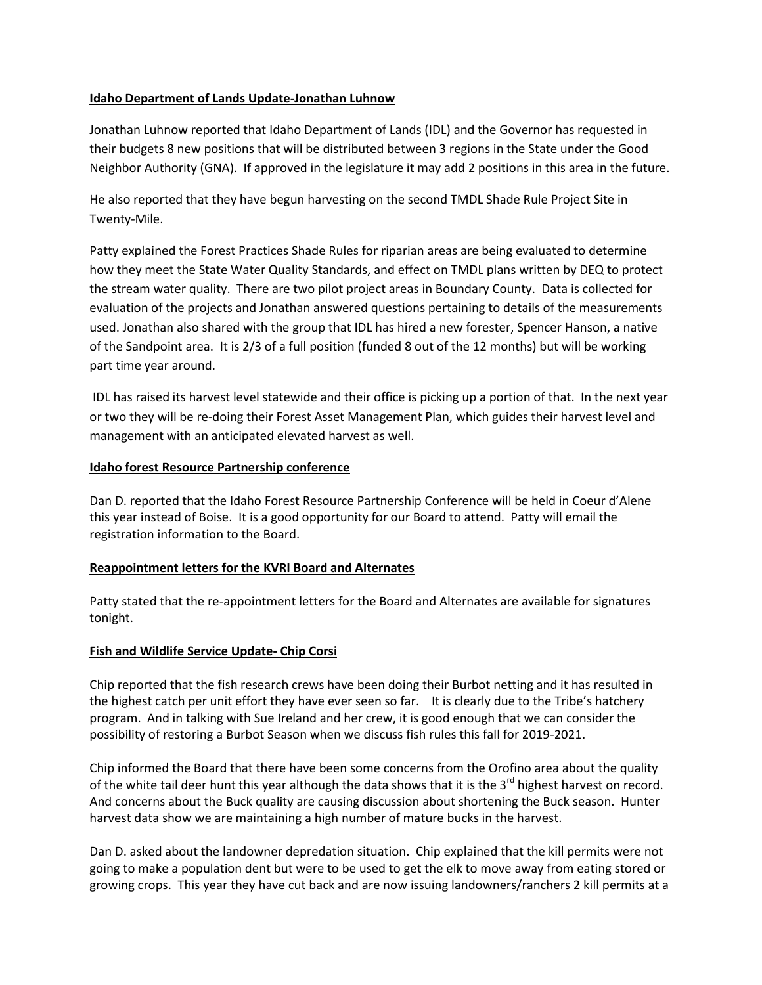# **Idaho Department of Lands Update-Jonathan Luhnow**

Jonathan Luhnow reported that Idaho Department of Lands (IDL) and the Governor has requested in their budgets 8 new positions that will be distributed between 3 regions in the State under the Good Neighbor Authority (GNA). If approved in the legislature it may add 2 positions in this area in the future.

He also reported that they have begun harvesting on the second TMDL Shade Rule Project Site in Twenty-Mile.

Patty explained the Forest Practices Shade Rules for riparian areas are being evaluated to determine how they meet the State Water Quality Standards, and effect on TMDL plans written by DEQ to protect the stream water quality. There are two pilot project areas in Boundary County. Data is collected for evaluation of the projects and Jonathan answered questions pertaining to details of the measurements used. Jonathan also shared with the group that IDL has hired a new forester, Spencer Hanson, a native of the Sandpoint area. It is 2/3 of a full position (funded 8 out of the 12 months) but will be working part time year around.

IDL has raised its harvest level statewide and their office is picking up a portion of that. In the next year or two they will be re-doing their Forest Asset Management Plan, which guides their harvest level and management with an anticipated elevated harvest as well.

# **Idaho forest Resource Partnership conference**

Dan D. reported that the Idaho Forest Resource Partnership Conference will be held in Coeur d'Alene this year instead of Boise. It is a good opportunity for our Board to attend. Patty will email the registration information to the Board.

# **Reappointment letters for the KVRI Board and Alternates**

Patty stated that the re-appointment letters for the Board and Alternates are available for signatures tonight.

# **Fish and Wildlife Service Update- Chip Corsi**

Chip reported that the fish research crews have been doing their Burbot netting and it has resulted in the highest catch per unit effort they have ever seen so far. It is clearly due to the Tribe's hatchery program. And in talking with Sue Ireland and her crew, it is good enough that we can consider the possibility of restoring a Burbot Season when we discuss fish rules this fall for 2019-2021.

Chip informed the Board that there have been some concerns from the Orofino area about the quality of the white tail deer hunt this year although the data shows that it is the 3<sup>rd</sup> highest harvest on record. And concerns about the Buck quality are causing discussion about shortening the Buck season. Hunter harvest data show we are maintaining a high number of mature bucks in the harvest.

Dan D. asked about the landowner depredation situation. Chip explained that the kill permits were not going to make a population dent but were to be used to get the elk to move away from eating stored or growing crops. This year they have cut back and are now issuing landowners/ranchers 2 kill permits at a